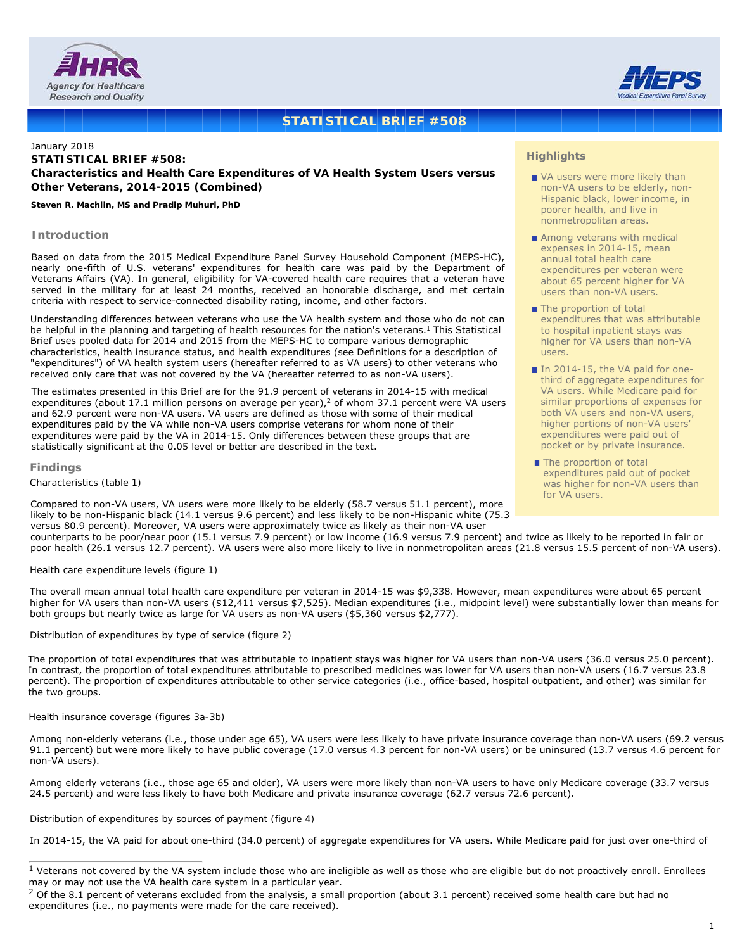



## **STATISTICAL BRIEF #508**

## January 2018 **STATISTICAL BRIEF #508: Characteristics and Health Care Expenditures of VA Health System Users versus Other Veterans, 2014-2015 (Combined)**

#### *Steven R. Machlin, MS and Pradip Muhuri, PhD*

#### **Introduction**

Based on data from the 2015 Medical Expenditure Panel Survey Household Component (MEPS-HC), nearly one-fifth of U.S. veterans' expenditures for health care was paid by the Department of Veterans Affairs (VA). In general, eligibility for VA-covered health care requires that a veteran have served in the military for at least 24 months, received an honorable discharge, and met certain criteria with respect to service-connected disability rating, income, and other factors.

Understanding differences between veterans who use the VA health system and those who do not can be helpful in the planning and targeting of health resources for the nation's veterans.<sup>1</sup> This Statistical Brief uses pooled data for 2014 and 2015 from the MEPS-HC to compare various demographic characteristics, health insurance status, and health expenditures (see [Definitions for a description of](#page-1-0)  ["expenditures"\)](#page-1-0) of VA health system users (hereafter referred to as VA users) to other veterans who received only care that was not covered by the VA (hereafter referred to as non-VA users).

The estimates presented in this Brief are for the 91.9 percent of veterans in 2014-15 with medical expenditures (about 17.1 million persons on average per year),<sup>2</sup> of whom 37.1 percent were VA users and 62.9 percent were non-VA users. VA users are defined as those with some of their medical expenditures paid by the VA while non-VA users comprise veterans for whom none of their expenditures were paid by the VA in 2014-15. Only differences between these groups that are statistically significant at the 0.05 level or better are described in the text.

#### **Findings**

*Characteristics (table 1)*

Compared to non-VA users, VA users were more likely to be elderly (58.7 versus 51.1 percent), more likely to be non-Hispanic black (14.1 versus 9.6 percent) and less likely to be non-Hispanic white (75.3 versus 80.9 percent). Moreover, VA users were approximately twice as likely as their non-VA user

#### **Highlights**

- VA users were more likely than non-VA users to be elderly, non-Hispanic black, lower income, in poorer health, and live in nonmetropolitan areas.
- Among veterans with medical expenses in 2014-15, mean annual total health care expenditures per veteran were about 65 percent higher for VA users than non-VA users.
- The proportion of total expenditures that was attributable to hospital inpatient stays was higher for VA users than non-VA users.
- In 2014-15, the VA paid for onethird of aggregate expenditures for VA users. While Medicare paid for similar proportions of expenses for both VA users and non-VA users, higher portions of non-VA users' expenditures were paid out of pocket or by private insurance.
- The proportion of total expenditures paid out of pocket was higher for non-VA users than for VA users.

counterparts to be poor/near poor (15.1 versus 7.9 percent) or low income (16.9 versus 7.9 percent) and twice as likely to be reported in fair or poor health (26.1 versus 12.7 percent). VA users were also more likely to live in nonmetropolitan areas (21.8 versus 15.5 percent of non-VA users).

#### *Health care expenditure levels (figure 1)*

The overall mean annual total health care expenditure per veteran in 2014-15 was \$9,338. However, mean expenditures were about 65 percent higher for VA users than non-VA users (\$12,411 versus \$7,525). Median expenditures (i.e., midpoint level) were substantially lower than means for both groups but nearly twice as large for VA users as non-VA users (\$5,360 versus \$2,777).

#### *Distribution of expenditures by type of service (figure 2)*

The proportion of total expenditures that was attributable to inpatient stays was higher for VA users than non-VA users (36.0 versus 25.0 percent). In contrast, the proportion of total expenditures attributable to prescribed medicines was lower for VA users than non-VA users (16.7 versus 23.8 percent). The proportion of expenditures attributable to other service categories (i.e., office-based, hospital outpatient, and other) was similar for the two groups.

#### *Health insurance coverage (figures 3a-3b)*

Among non-elderly veterans (i.e., those under age 65), VA users were less likely to have private insurance coverage than non-VA users (69.2 versus 91.1 percent) but were more likely to have public coverage (17.0 versus 4.3 percent for non-VA users) or be uninsured (13.7 versus 4.6 percent for non-VA users).

Among elderly veterans (i.e., those age 65 and older), VA users were more likely than non-VA users to have only Medicare coverage (33.7 versus 24.5 percent) and were less likely to have both Medicare and private insurance coverage (62.7 versus 72.6 percent).

#### *Distribution of expenditures by sources of payment (figure 4)*

In 2014-15, the VA paid for about one-third (34.0 percent) of aggregate expenditures for VA users. While Medicare paid for just over one-third of

<sup>&</sup>lt;sup>1</sup> Veterans not covered by the VA system include those who are ineligible as well as those who are eligible but do not proactively enroll. Enrollees may or may not use the VA health care system in a particular year.

 $2$  Of the 8.1 percent of veterans excluded from the analysis, a small proportion (about 3.1 percent) received some health care but had no expenditures (i.e., no payments were made for the care received).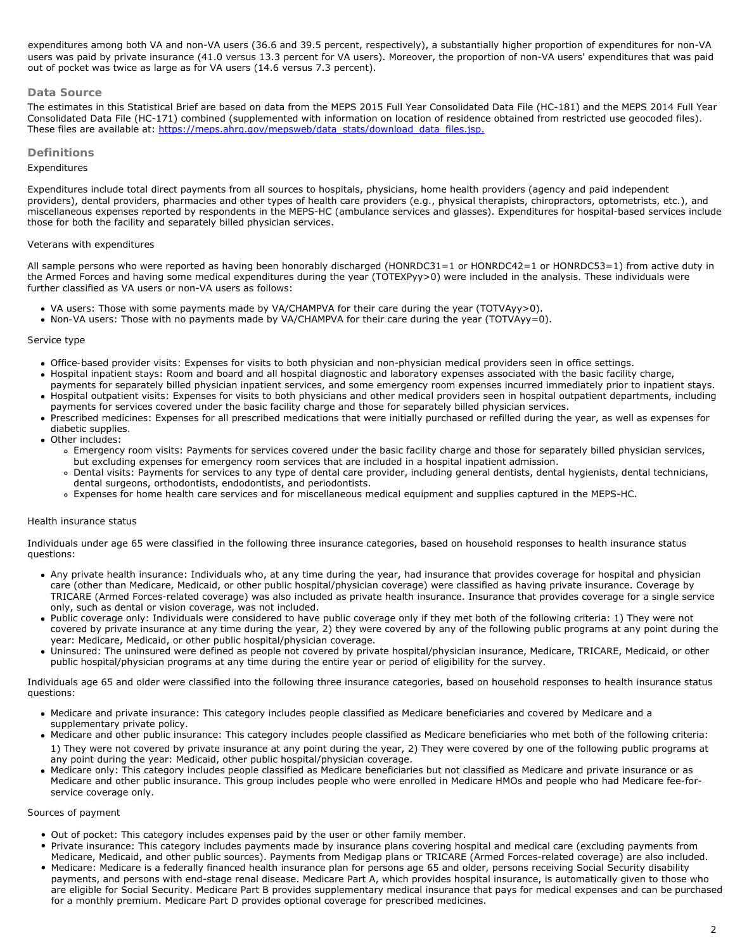<span id="page-1-0"></span>users was paid by private insurance (41.0 versus 13.3 percent for VA users). Moreover, the proportion of non-VA users' expenditures that was paid out of pocket was twice as large as for VA users (14.6 versus 7.3 percent). expenditures among both VA and non-VA users (36.6 and 39.5 percent, respectively), a substantially higher proportion of expenditures for non-VA

## **Data Source**

The estimates in this Statistical Brief are based on data from the MEPS 2015 Full Year Consolidated Data File (HC-181) and the MEPS 2014 Full Year Consolidated Data File (HC-171) combined (supplemented with information on location of residence obtained from restricted use geocoded files). These files are available at[: https://meps.ahrq.gov/mepsweb/data\\_stats/download\\_data\\_files.jsp.](https://meps.ahrq.gov/mepsweb/data_stats/download_data_files.jsp)

## **Definitions**

#### *Expenditures*

Expenditures include total direct payments from all sources to hospitals, physicians, home health providers (agency and paid independent providers), dental providers, pharmacies and other types of health care providers (e.g., physical therapists, chiropractors, optometrists, etc.), and miscellaneous expenses reported by respondents in the MEPS-HC (ambulance services and glasses). Expenditures for hospital-based services include those for both the facility and separately billed physician services.

#### *Veterans with expenditures*

All sample persons who were reported as having been honorably discharged (HONRDC31=1 or HONRDC42=1 or HONRDC53=1) from active duty in the Armed Forces and having some medical expenditures during the year (TOTEXPyy>0) were included in the analysis. These individuals were further classified as VA users or non-VA users as follows:

- *VA users*: Those with some payments made by VA/CHAMPVA for their care during the year (TOTVAyy>0).
- *Non-VA users*: Those with no payments made by VA/CHAMPVA for their care during the year (TOTVAyy=0).

#### *Service type*

- *Office-based provider visits*: Expenses for visits to both physician and non-physician medical providers seen in office settings.
- *Hospital inpatient stays*: Room and board and all hospital diagnostic and laboratory expenses associated with the basic facility charge, payments for separately billed physician inpatient services, and some emergency room expenses incurred immediately prior to inpatient stays. *Hospital outpatient visits*: Expenses for visits to both physicians and other medical providers seen in hospital outpatient departments, including
- payments for services covered under the basic facility charge and those for separately billed physician services.
- *Prescribed medicines*: Expenses for all prescribed medications that were initially purchased or refilled during the year, as well as expenses for diabetic supplies.
- *Other includes*:
	- *Emergency room visits*: Payments for services covered under the basic facility charge and those for separately billed physician services, but excluding expenses for emergency room services that are included in a hospital inpatient admission.
	- *Dental visits*: Payments for services to any type of dental care provider, including general dentists, dental hygienists, dental technicians, dental surgeons, orthodontists, endodontists, and periodontists.
	- Expenses for home health care services and for miscellaneous medical equipment and supplies captured in the MEPS-HC.

#### *Health insurance status*

Individuals under age 65 were classified in the following three insurance categories, based on household responses to health insurance status questions:

- *Any private health insurance*: Individuals who, at any time during the year, had insurance that provides coverage for hospital and physician care (other than Medicare, Medicaid, or other public hospital/physician coverage) were classified as having private insurance. Coverage by TRICARE (Armed Forces-related coverage) was also included as private health insurance. Insurance that provides coverage for a single service only, such as dental or vision coverage, was not included.
- *Public coverage only*: Individuals were considered to have public coverage only if they met both of the following criteria: 1) They were not covered by private insurance at any time during the year, 2) they were covered by any of the following public programs at any point during the year: Medicare, Medicaid, or other public hospital/physician coverage.
- *Uninsured*: The uninsured were defined as people not covered by private hospital/physician insurance, Medicare, TRICARE, Medicaid, or other public hospital/physician programs at any time during the entire year or period of eligibility for the survey.

Individuals age 65 and older were classified into the following three insurance categories, based on household responses to health insurance status questions:

- *Medicare and private insurance*: This category includes people classified as Medicare beneficiaries and covered by Medicare and a supplementary private policy.
- *Medicare and other public insurance*: This category includes people classified as Medicare beneficiaries who met both of the following criteria: 1) They were not covered by private insurance at any point during the year, 2) They were covered by one of the following public programs at any point during the year: Medicaid, other public hospital/physician coverage.
- *Medicare only*: This category includes people classified as Medicare beneficiaries but not classified as Medicare and private insurance or as Medicare and other public insurance. This group includes people who were enrolled in Medicare HMOs and people who had Medicare fee-forservice coverage only.

#### *Sources of payment*

- Out of pocket: This category includes expenses paid by the user or other family member.
- Private insurance: This category includes payments made by insurance plans covering hospital and medical care (excluding payments from Medicare, Medicaid, and other public sources). Payments from Medigap plans or TRICARE (Armed Forces-related coverage) are also included.
- Medicare: Medicare is a federally financed health insurance plan for persons age 65 and older, persons receiving Social Security disability payments, and persons with end-stage renal disease. Medicare Part A, which provides hospital insurance, is automatically given to those who are eligible for Social Security. Medicare Part B provides supplementary medical insurance that pays for medical expenses and can be purchased for a monthly premium. Medicare Part D provides optional coverage for prescribed medicines.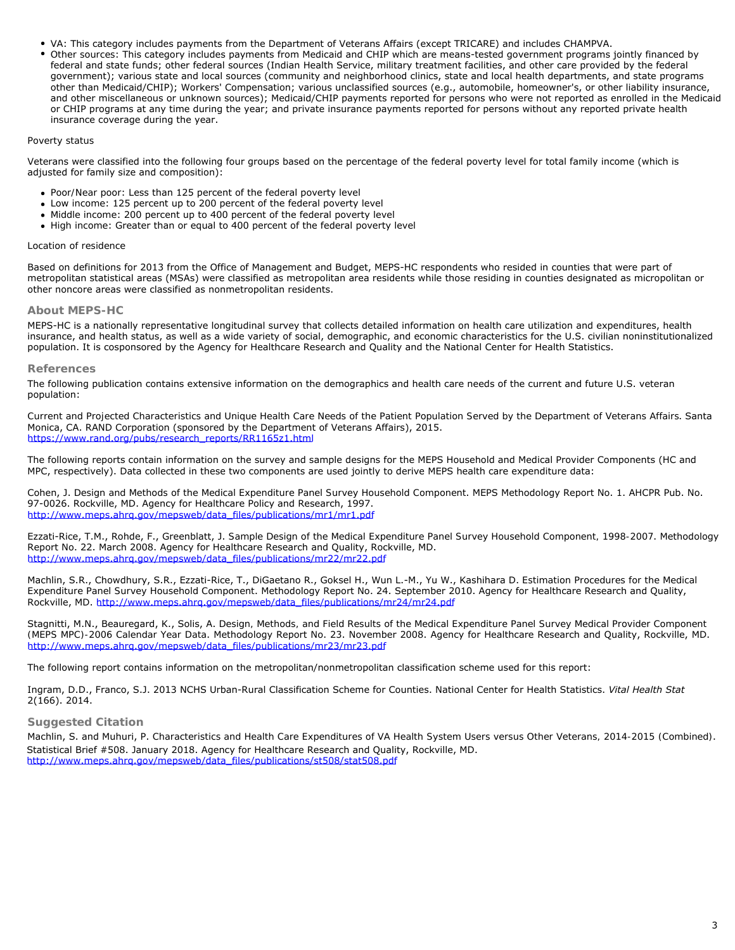- *VA*: This category includes payments from the Department of Veterans Affairs (except TRICARE) and includes CHAMPVA.
- *Other sources*: This category includes payments from Medicaid and CHIP which are means-tested government programs jointly financed by federal and state funds; other federal sources (Indian Health Service, military treatment facilities, and other care provided by the federal government); various state and local sources (community and neighborhood clinics, state and local health departments, and state programs other than Medicaid/CHIP); Workers' Compensation; various unclassified sources (e.g., automobile, homeowner's, or other liability insurance, and other miscellaneous or unknown sources); Medicaid/CHIP payments reported for persons who were not reported as enrolled in the Medicaid or CHIP programs at any time during the year; and private insurance payments reported for persons without any reported private health insurance coverage during the year.

#### *Poverty status*

Veterans were classified into the following four groups based on the percentage of the federal poverty level for total family income (which is adjusted for family size and composition):

- *Poor/Near poor*: Less than 125 percent of the federal poverty level
- *Low income*: 125 percent up to 200 percent of the federal poverty level
- *Middle income*: 200 percent up to 400 percent of the federal poverty level
- *High income*: Greater than or equal to 400 percent of the federal poverty level

#### *Location of residence*

Based on definitions for 2013 from the Office of Management and Budget, MEPS-HC respondents who resided in counties that were part of metropolitan statistical areas (MSAs) were classified as metropolitan area residents while those residing in counties designated as micropolitan or other noncore areas were classified as nonmetropolitan residents.

## **About MEPS-HC**

MEPS-HC is a nationally representative longitudinal survey that collects detailed information on health care utilization and expenditures, health insurance, and health status, as well as a wide variety of social, demographic, and economic characteristics for the U.S. civilian noninstitutionalized population. It is cosponsored by the Agency for Healthcare Research and Quality and the National Center for Health Statistics.

## **References**

The following publication contains extensive information on the demographics and health care needs of the current and future U.S. veteran population:

*Current and Projected Characteristics and Unique Health Care Needs of the Patient Population Served by the Department of Veterans Affairs*. Santa Monica, CA. RAND Corporation (sponsored by the Department of Veterans Affairs), 2015. [https://www.rand.org/pubs/research\\_reports/RR1165z1.html](https://www.rand.org/pubs/research_reports/RR1165z1.html)

The following reports contain information on the survey and sample designs for the MEPS Household and Medical Provider Components (HC and MPC, respectively). Data collected in these two components are used jointly to derive MEPS health care expenditure data:

Cohen, J. *Design and Methods of the Medical Expenditure Panel Survey Household Component*. MEPS Methodology Report No. 1. AHCPR Pub. No. 97-0026. Rockville, MD. Agency for Healthcare Policy and Research, 1997. [http://www.meps.ahrq.gov/mepsweb/data\\_files/publications/mr1/mr1.pdf](http://www.meps.ahrq.gov/mepsweb/data_files/publications/mr1/mr1.pdf)

Ezzati-Rice, T.M., Rohde, F., Greenblatt, J. *Sample Design of the Medical Expenditure Panel Survey Household Component, 1998-2007*. Methodology Report No. 22. March 2008. Agency for Healthcare Research and Quality, Rockville, MD. [http://www.meps.ahrq.gov/mepsweb/data\\_files/publications/mr22/mr22.pdf](http://www.meps.ahrq.gov/mepsweb/data_files/publications/mr22/mr22.pdf)

Machlin, S.R., Chowdhury, S.R., Ezzati-Rice, T., DiGaetano R., Goksel H., Wun L.-M., Yu W., Kashihara D. *Estimation Procedures for the Medical Expenditure Panel Survey Household Component*. Methodology Report No. 24. September 2010. Agency for Healthcare Research and Quality, Rockville, MD[. http://www.meps.ahrq.gov/mepsweb/data\\_files/publications/mr24/mr24.pdf](http://www.meps.ahrq.gov/mepsweb/data_files/publications/mr24/mr24.pdf)

Stagnitti, M.N., Beauregard, K., Solis, A. *Design, Methods, and Field Results of the Medical Expenditure Panel Survey Medical Provider Component (MEPS MPC)-2006 Calendar Year Data*. Methodology Report No. 23. November 2008. Agency for Healthcare Research and Quality, Rockville, MD. [http://www.meps.ahrq.gov/mepsweb/data\\_files/publications/mr23/mr23.pdf](http://www.meps.ahrq.gov/mepsweb/data_files/publications/mr23/mr23.pdf)

The following report contains information on the metropolitan/nonmetropolitan classification scheme used for this report:

Ingram, D.D., Franco, S.J. *2013 N*CHS Urban-Rural Classification Scheme for Counties. National Center for Health Statistics. *Vital Health Stat* 2(166). 2014.

## **Suggested Citation**

Machlin, S. and Muhuri, P. *Characteristics and Health Care Expenditures of VA Health System Users versus Other Veterans, 2014-2015 (Combined)*. Statistical Brief #508. January 2018. Agency for Healthcare Research and Quality, Rockville, MD. [http://www.meps.ahrq.gov/mepsweb/data\\_files/publications/st508/stat508.pdf](/mepsweb/data_files/publications/st508/stat508.pdf)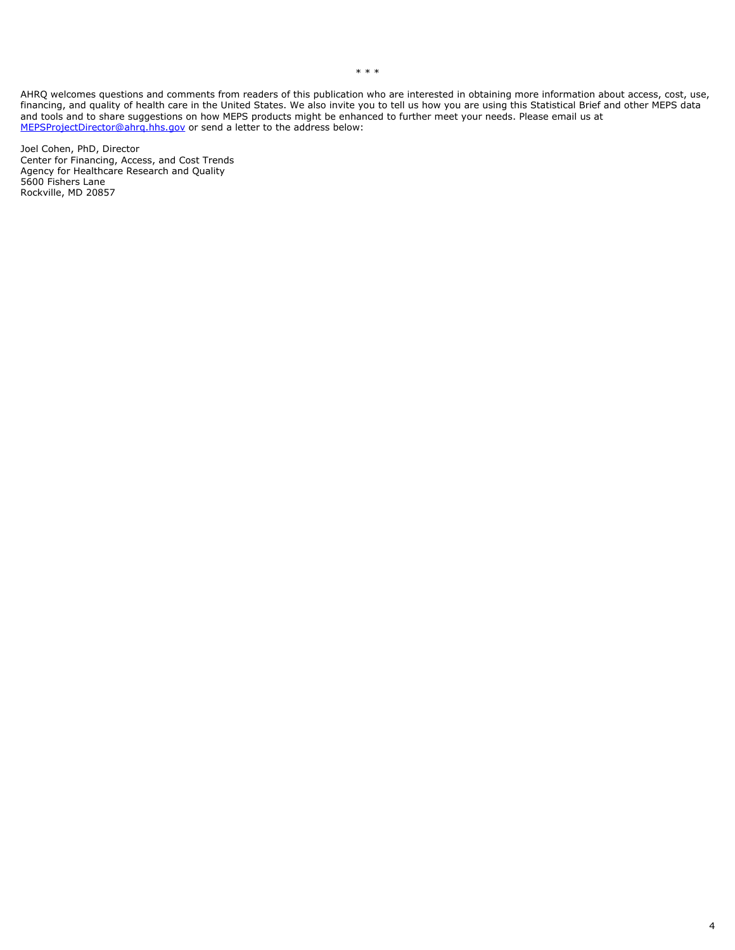AHRQ welcomes questions and comments from readers of this publication who are interested in obtaining more information about access, cost, use, financing, and quality of health care in the United States. We also invite you to tell us how you are using this Statistical Brief and other MEPS data and tools and to share suggestions on how MEPS products might be enhanced to further meet your needs. Please email us at [MEPSProjectDirector@ahrq.hhs.gov](mailto:MEPSProjectDirector@ahrq.hhs.gov) or send a letter to the address below:

Joel Cohen, PhD, Director Center for Financing, Access, and Cost Trends Agency for Healthcare Research and Quality 5600 Fishers Lane Rockville, MD 20857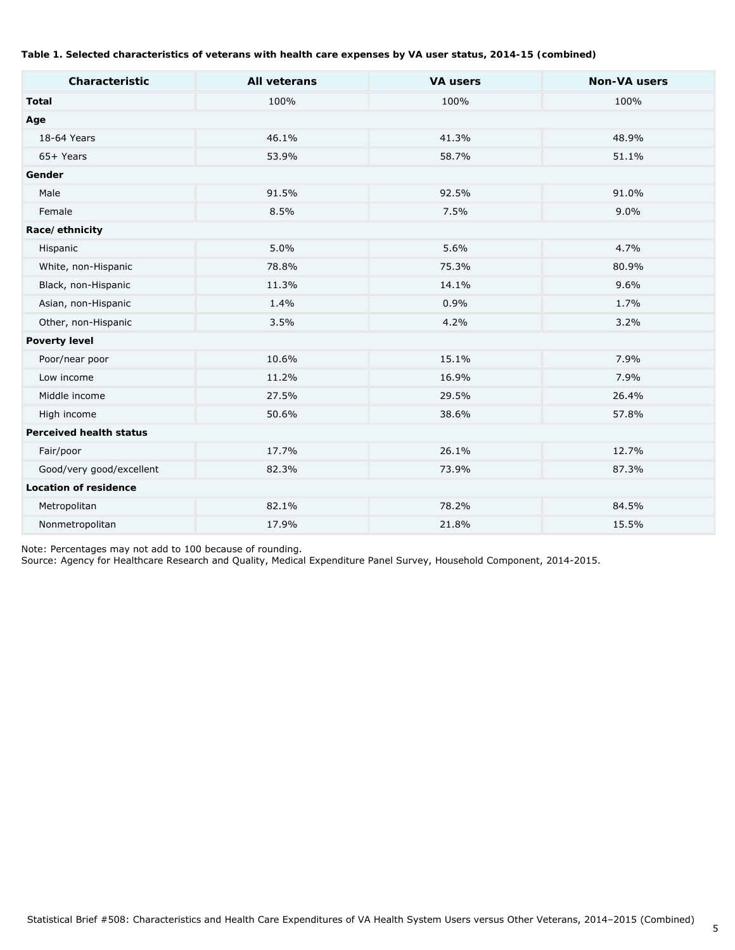## **Table 1. Selected characteristics of veterans with health care expenses by VA user status, 2014-15 (combined)**

| Characteristic                 | <b>All veterans</b> | <b>VA users</b> | <b>Non-VA users</b> |
|--------------------------------|---------------------|-----------------|---------------------|
| <b>Total</b>                   | 100%                | 100%            | 100%                |
| Age                            |                     |                 |                     |
| 18-64 Years                    | 46.1%               | 41.3%           | 48.9%               |
| 65+ Years                      | 53.9%               | 58.7%           | 51.1%               |
| Gender                         |                     |                 |                     |
| Male                           | 91.5%               | 92.5%           | 91.0%               |
| Female                         | 8.5%                | 7.5%            | 9.0%                |
| Race/ethnicity                 |                     |                 |                     |
| Hispanic                       | 5.0%                | 5.6%            | 4.7%                |
| White, non-Hispanic            | 78.8%               | 75.3%           | 80.9%               |
| Black, non-Hispanic            | 11.3%               | 14.1%           | 9.6%                |
| Asian, non-Hispanic            | 1.4%                | 0.9%            | 1.7%                |
| Other, non-Hispanic            | 3.5%                | 4.2%            | 3.2%                |
| <b>Poverty level</b>           |                     |                 |                     |
| Poor/near poor                 | 10.6%               | 15.1%           | 7.9%                |
| Low income                     | 11.2%               | 16.9%           | 7.9%                |
| Middle income                  | 27.5%               | 29.5%           | 26.4%               |
| High income                    | 50.6%               | 38.6%           | 57.8%               |
| <b>Perceived health status</b> |                     |                 |                     |
| Fair/poor                      | 17.7%               | 26.1%           | 12.7%               |
| Good/very good/excellent       | 82.3%               | 73.9%           | 87.3%               |
| <b>Location of residence</b>   |                     |                 |                     |
| Metropolitan                   | 82.1%               | 78.2%           | 84.5%               |
| Nonmetropolitan                | 17.9%               | 21.8%           | 15.5%               |

Note: Percentages may not add to 100 because of rounding.

Source: Agency for Healthcare Research and Quality, Medical Expenditure Panel Survey, Household Component, 2014-2015.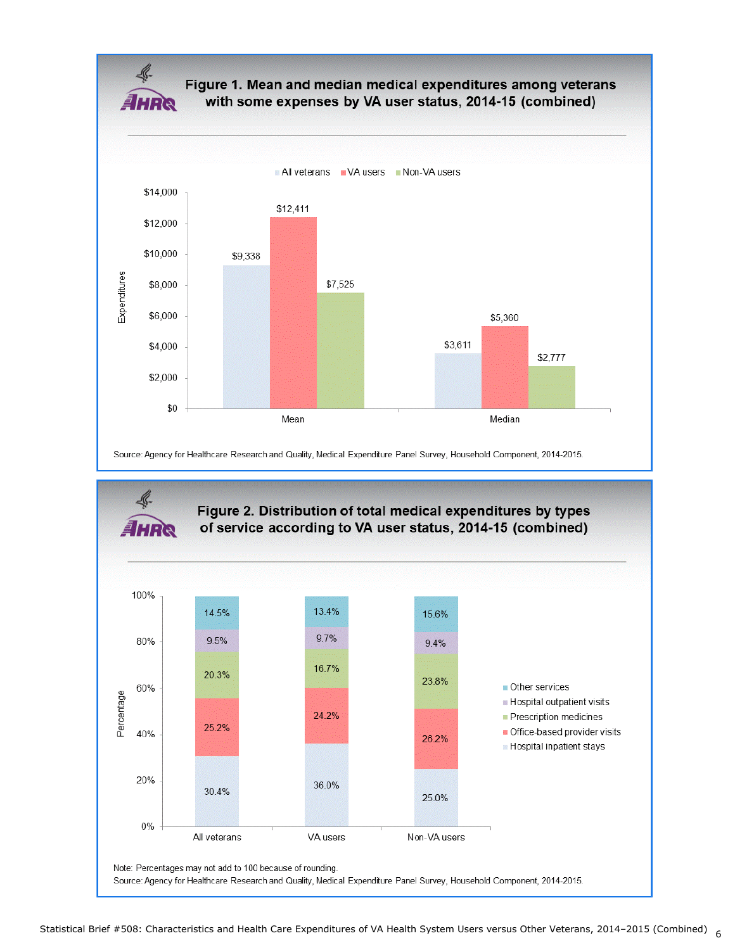

# Figure 1. Mean and median medical expenditures among veterans with some expenses by VA user status, 2014-15 (combined)



Source: Agency for Healthcare Research and Quality, Medical Expenditure Panel Survey, Household Component, 2014-2015.

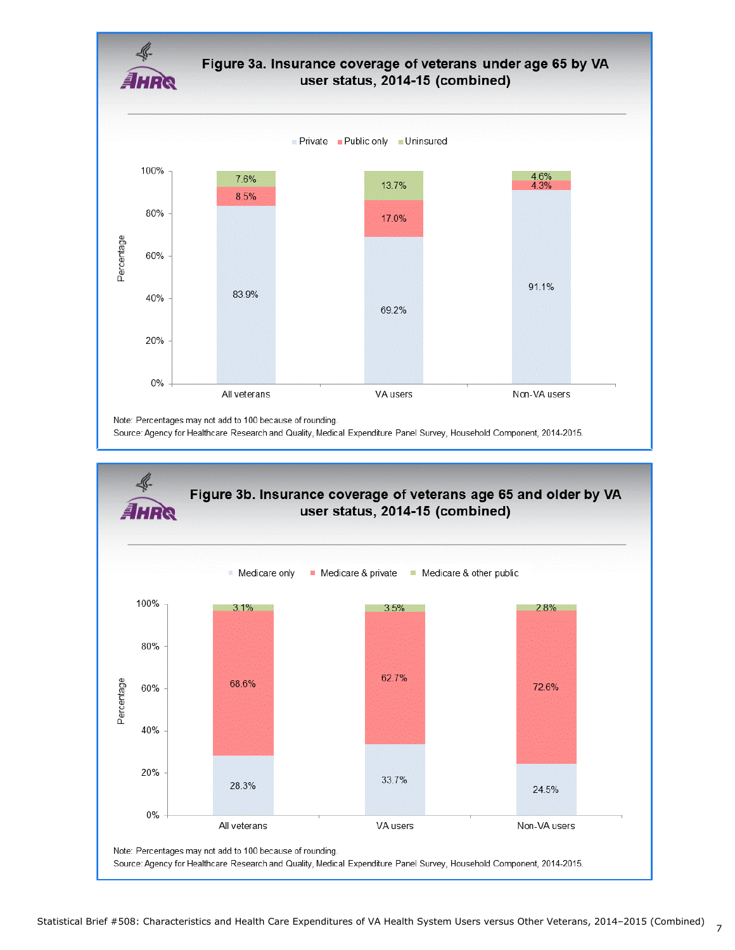

Source: Agency for Healthcare Research and Quality, Medical Expenditure Panel Survey, Household Component, 2014-2015.